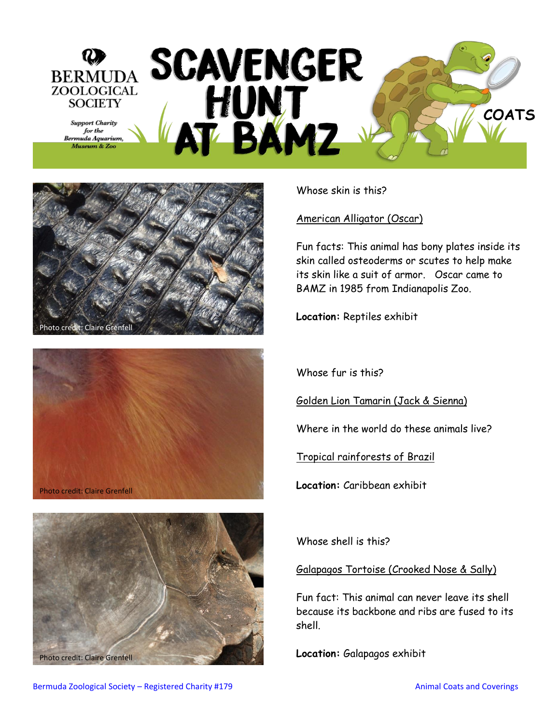





Photo credit: Claire Grenfell **Execution: Calapagos exhibit** 

Whose skin is this?

American Alligator (Oscar)

Fun facts: This animal has bony plates inside its skin called osteoderms or scutes to help make its skin like a suit of armor. Oscar came to BAMZ in 1985 from Indianapolis Zoo.

**Location:** Reptiles exhibit

Whose fur is this?

Golden Lion Tamarin (Jack & Sienna)

Where in the world do these animals live?

Tropical rainforests of Brazil

**Location:** Caribbean exhibit

Whose shell is this?

Galapagos Tortoise (Crooked Nose & Sally)

Fun fact: This animal can never leave its shell because its backbone and ribs are fused to its shell.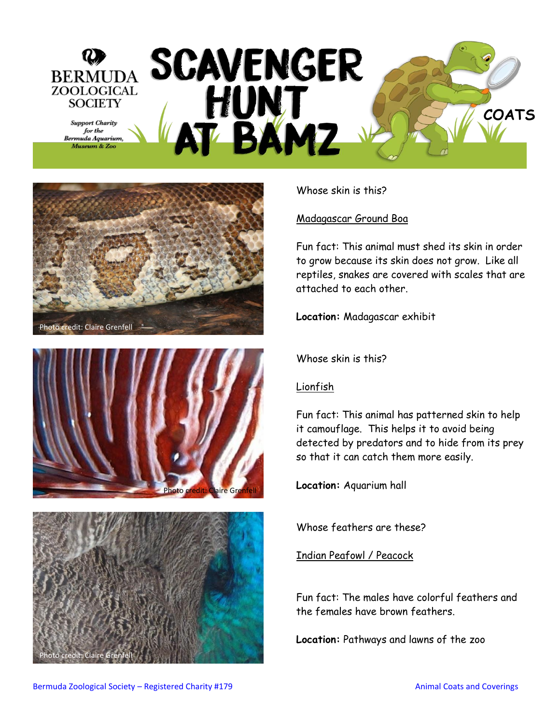## BERMUDA SCAVENGER **ZOOLOGICAL** HUNT<br>AT BAMZ **SOCIETY COATS Support Charity** for the Bermuda Aquarium, Museum & Zoo







Whose skin is this?

## Madagascar Ground Boa

Fun fact: This animal must shed its skin in order to grow because its skin does not grow. Like all reptiles, snakes are covered with scales that are attached to each other.

**Location:** Madagascar exhibit

Whose skin is this?

## Lionfish

Fun fact: This animal has patterned skin to help it camouflage. This helps it to avoid being detected by predators and to hide from its prey so that it can catch them more easily.

**Location:** Aquarium hall

Whose feathers are these?

Indian Peafowl / Peacock

Fun fact: The males have colorful feathers and the females have brown feathers.

**Location:** Pathways and lawns of the zoo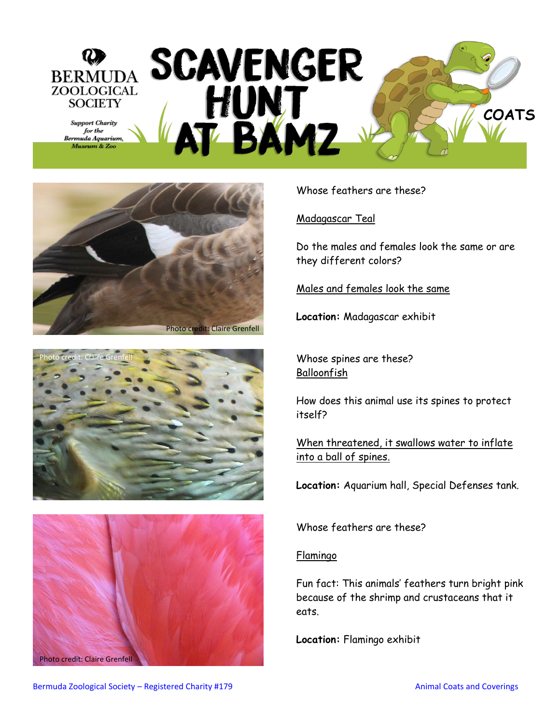## SCAVENGER<br>HUNT<br>AT BAMZ BERMUDA ZOOLOGICAL **SOCIETY COATS Support Charity** for the Bermuda Aquarium, Museum & Zoo





Photo credit: Claire Grenfell

Whose feathers are these?

Madagascar Teal

Do the males and females look the same or are they different colors?

Males and females look the same

**Location:** Madagascar exhibit

Whose spines are these? Balloonfish

How does this animal use its spines to protect itself?

When threatened, it swallows water to inflate into a ball of spines.

**Location:** Aquarium hall, Special Defenses tank.

Whose feathers are these?

Flamingo

Fun fact: This animals' feathers turn bright pink because of the shrimp and crustaceans that it eats.

**Location:** Flamingo exhibit